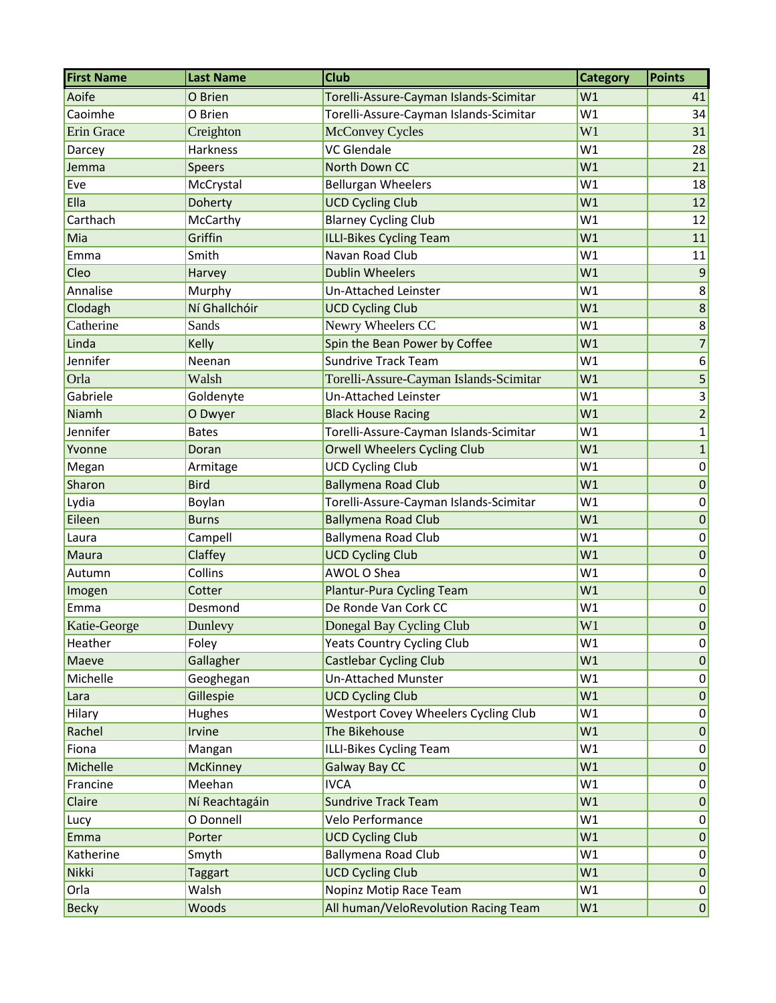| <b>First Name</b> | <b>Last Name</b> | <b>Club</b>                            | <b>Category</b> | <b>Points</b>     |
|-------------------|------------------|----------------------------------------|-----------------|-------------------|
| Aoife             | O Brien          | Torelli-Assure-Cayman Islands-Scimitar | W1              | 41                |
| Caoimhe           | O Brien          | Torelli-Assure-Cayman Islands-Scimitar | W1              | 34                |
| Erin Grace        | Creighton        | <b>McConvey Cycles</b>                 | W1              | 31                |
| Darcey            | Harkness         | <b>VC</b> Glendale                     | W1              | 28                |
| Jemma             | <b>Speers</b>    | North Down CC                          | W1              | 21                |
| Eve               | McCrystal        | <b>Bellurgan Wheelers</b>              | W1              | 18                |
| Ella              | Doherty          | <b>UCD Cycling Club</b>                | W1              | 12                |
| Carthach          | McCarthy         | <b>Blarney Cycling Club</b>            | W1              | 12                |
| Mia               | Griffin          | <b>ILLI-Bikes Cycling Team</b>         | W1              | 11                |
| Emma              | Smith            | Navan Road Club                        | W1              | 11                |
| Cleo              | Harvey           | <b>Dublin Wheelers</b>                 | W1              | 9                 |
| Annalise          | Murphy           | Un-Attached Leinster                   | W1              | 8 <sup>2</sup>    |
| Clodagh           | Ní Ghallchóir    | <b>UCD Cycling Club</b>                | W1              | $\lvert 8 \rvert$ |
| Catherine         | Sands            | Newry Wheelers CC                      | W1              | 8 <sup>2</sup>    |
| Linda             | Kelly            | Spin the Bean Power by Coffee          | W1              | $\overline{7}$    |
| Jennifer          | Neenan           | <b>Sundrive Track Team</b>             | W1              | 6                 |
| Orla              | Walsh            | Torelli-Assure-Cayman Islands-Scimitar | W1              | 5                 |
| Gabriele          | Goldenyte        | Un-Attached Leinster                   | W1              | $\vert 3 \vert$   |
| Niamh             | O Dwyer          | <b>Black House Racing</b>              | W1              | $\overline{2}$    |
| Jennifer          | <b>Bates</b>     | Torelli-Assure-Cayman Islands-Scimitar | W1              | $1\vert$          |
| Yvonne            | Doran            | <b>Orwell Wheelers Cycling Club</b>    | W1              | $1\vert$          |
| Megan             | Armitage         | <b>UCD Cycling Club</b>                | W1              | 0                 |
| Sharon            | <b>Bird</b>      | <b>Ballymena Road Club</b>             | W1              | 0                 |
| Lydia             | Boylan           | Torelli-Assure-Cayman Islands-Scimitar | W1              | 0                 |
| Eileen            | <b>Burns</b>     | <b>Ballymena Road Club</b>             | W1              | $\pmb{0}$         |
| Laura             | Campell          | <b>Ballymena Road Club</b>             | W1              | 0                 |
| Maura             | Claffey          | <b>UCD Cycling Club</b>                | W1              | $\pmb{0}$         |
| Autumn            | Collins          | AWOL O Shea                            | W1              | 0                 |
| Imogen            | Cotter           | Plantur-Pura Cycling Team              | W1              | 0                 |
| Emma              | Desmond          | De Ronde Van Cork CC                   | W1              | 0                 |
| Katie-George      | Dunlevy          | Donegal Bay Cycling Club               | W1              | $\pmb{0}$         |
| Heather           | Foley            | <b>Yeats Country Cycling Club</b>      | W1              | 0                 |
| Maeve             | Gallagher        | <b>Castlebar Cycling Club</b>          | W1              | 0                 |
| Michelle          | Geoghegan        | <b>Un-Attached Munster</b>             | W1              | 0                 |
| Lara              | Gillespie        | <b>UCD Cycling Club</b>                | W1              | 0                 |
| Hilary            | Hughes           | Westport Covey Wheelers Cycling Club   | W1              | 0                 |
| Rachel            | Irvine           | The Bikehouse                          | W1              | 0                 |
| Fiona             | Mangan           | ILLI-Bikes Cycling Team                | W1              | 0                 |
| Michelle          | <b>McKinney</b>  | Galway Bay CC                          | W1              | 0                 |
| Francine          | Meehan           | <b>IVCA</b>                            | W1              | 0                 |
| Claire            | Ní Reachtagáin   | <b>Sundrive Track Team</b>             | W1              | 0                 |
| Lucy              | O Donnell        | Velo Performance                       | W1              | 0                 |
| Emma              | Porter           | <b>UCD Cycling Club</b>                | W1              | 0                 |
| Katherine         | Smyth            | <b>Ballymena Road Club</b>             | W1              | 0                 |
| Nikki             | <b>Taggart</b>   | <b>UCD Cycling Club</b>                | W1              | 0                 |
| Orla              | Walsh            | Nopinz Motip Race Team                 | W1              | 0                 |
| <b>Becky</b>      | Woods            | All human/VeloRevolution Racing Team   | W1              | 0                 |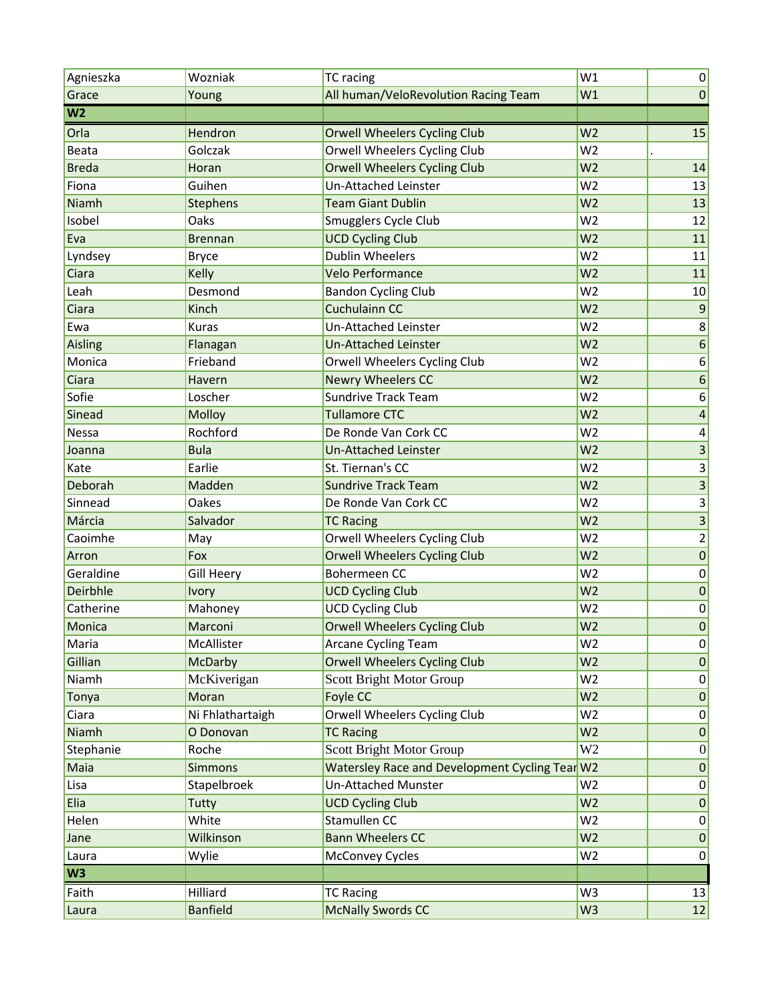| All human/VeloRevolution Racing Team<br>Grace<br>Young<br>W <sub>1</sub>           |                         |
|------------------------------------------------------------------------------------|-------------------------|
|                                                                                    | $\pmb{0}$               |
| W <sub>2</sub>                                                                     |                         |
| Orla<br>Hendron<br><b>Orwell Wheelers Cycling Club</b><br>W <sub>2</sub>           | 15                      |
| Golczak<br>Orwell Wheelers Cycling Club<br>W <sub>2</sub><br><b>Beata</b>          |                         |
| <b>Orwell Wheelers Cycling Club</b><br>W <sub>2</sub><br><b>Breda</b><br>Horan     | 14                      |
| Guihen<br>Un-Attached Leinster<br>W <sub>2</sub><br>Fiona                          | 13                      |
| <b>Team Giant Dublin</b><br>W <sub>2</sub><br>Niamh<br>Stephens                    | 13                      |
| Isobel<br>Oaks<br>Smugglers Cycle Club<br>W <sub>2</sub>                           | 12                      |
| <b>UCD Cycling Club</b><br>W <sub>2</sub><br>Eva<br><b>Brennan</b>                 | 11                      |
| <b>Dublin Wheelers</b><br>W <sub>2</sub><br>Lyndsey<br><b>Bryce</b>                | 11                      |
| <b>Velo Performance</b><br>W <sub>2</sub><br>Ciara<br>Kelly                        | 11                      |
| Leah<br>Desmond<br><b>Bandon Cycling Club</b><br>W <sub>2</sub>                    | $10\,$                  |
| Kinch<br>W <sub>2</sub><br><b>Cuchulainn CC</b><br>Ciara                           | $\boldsymbol{9}$        |
| Un-Attached Leinster<br>W <sub>2</sub><br><b>Kuras</b><br>Ewa                      | $\bf 8$                 |
| W <sub>2</sub><br>Aisling<br><b>Un-Attached Leinster</b><br>Flanagan               | $\boldsymbol{6}$        |
| Monica<br>Frieband<br>Orwell Wheelers Cycling Club<br>W <sub>2</sub>               | $\boldsymbol{6}$        |
| <b>Newry Wheelers CC</b><br>W <sub>2</sub><br>Ciara<br>Havern                      | $\boldsymbol{6}$        |
| Sofie<br><b>Sundrive Track Team</b><br>W <sub>2</sub><br>Loscher                   | $\boldsymbol{6}$        |
| Molloy<br><b>Tullamore CTC</b><br>W <sub>2</sub><br>Sinead                         | $\overline{a}$          |
| Rochford<br>W <sub>2</sub><br>De Ronde Van Cork CC<br>Nessa                        | 4                       |
| <b>Bula</b><br><b>Un-Attached Leinster</b><br>W <sub>2</sub><br>Joanna             | 3                       |
| Earlie<br>St. Tiernan's CC<br>W <sub>2</sub><br>Kate                               | $\mathbf{3}$            |
| Deborah<br><b>Sundrive Track Team</b><br>W <sub>2</sub><br>Madden                  | $\overline{\mathbf{3}}$ |
| Sinnead<br>Oakes<br>De Ronde Van Cork CC<br>W <sub>2</sub>                         |                         |
| Márcia<br>Salvador<br>W <sub>2</sub><br><b>TC Racing</b>                           | $\overline{\mathbf{3}}$ |
| Orwell Wheelers Cycling Club<br>W <sub>2</sub><br>Caoimhe<br>May                   | $\overline{2}$          |
| <b>Orwell Wheelers Cycling Club</b><br>Arron<br>Fox<br>W <sub>2</sub>              | $\pmb{0}$               |
| Geraldine<br><b>Bohermeen CC</b><br><b>Gill Heery</b><br>W <sub>2</sub>            | $\pmb{0}$               |
| Deirbhle<br>W <sub>2</sub><br><b>UCD Cycling Club</b><br><b>Ivory</b>              | $\pmb{0}$               |
| <b>UCD Cycling Club</b><br>Catherine<br>Mahoney<br>W <sub>2</sub>                  | $\pmb{0}$               |
| Monica<br>Marconi<br><b>Orwell Wheelers Cycling Club</b><br>W <sub>2</sub>         | $\pmb{0}$               |
| McAllister<br>Arcane Cycling Team<br>W <sub>2</sub><br>Maria                       | 0                       |
| <b>Orwell Wheelers Cycling Club</b><br>Gillian<br>W <sub>2</sub><br><b>McDarby</b> | 0                       |
| McKiverigan<br><b>Scott Bright Motor Group</b><br>Niamh<br>W <sub>2</sub>          | 0                       |
| Foyle CC<br>W <sub>2</sub><br>Tonya<br>Moran                                       | 0                       |
| Ciara<br>Ni Fhlathartaigh<br>Orwell Wheelers Cycling Club<br>W <sub>2</sub>        | 0                       |
| Niamh<br>O Donovan<br><b>TC Racing</b><br>W <sub>2</sub>                           | 0                       |
| W <sub>2</sub><br>Scott Bright Motor Group<br>Stephanie<br>Roche                   | 0                       |
| Watersley Race and Development Cycling Tear W2<br>Maia<br><b>Simmons</b>           | 0                       |
| <b>Un-Attached Munster</b><br>Lisa<br>Stapelbroek<br>W <sub>2</sub>                | 0                       |
| W <sub>2</sub><br>Elia<br><b>UCD Cycling Club</b><br>Tutty                         | 0                       |
| Stamullen CC<br>White<br>Helen<br>W <sub>2</sub>                                   | 0                       |
| <b>Bann Wheelers CC</b><br>Wilkinson<br>W <sub>2</sub><br>Jane                     | 0                       |
| Wylie<br><b>McConvey Cycles</b><br>W <sub>2</sub><br>Laura                         | 0                       |
| W <sub>3</sub>                                                                     |                         |
| Hilliard<br>Faith<br><b>TC Racing</b><br>W <sub>3</sub>                            | 13                      |
| <b>McNally Swords CC</b><br><b>Banfield</b><br>W <sub>3</sub><br>Laura             | 12                      |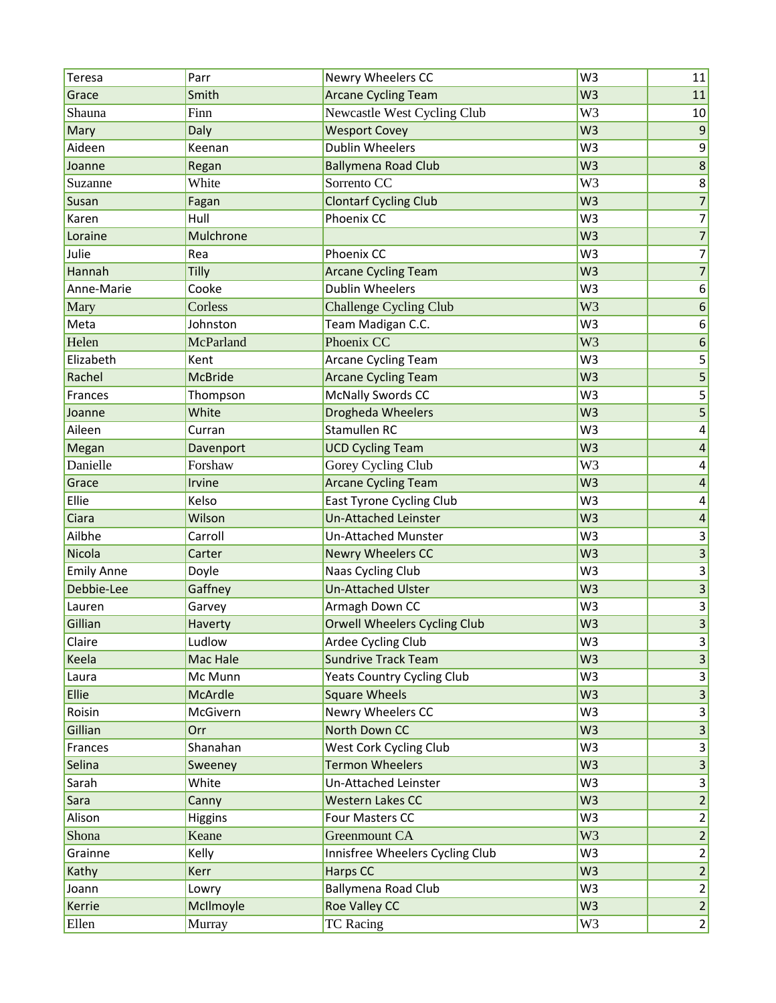| Teresa            | Parr           | Newry Wheelers CC                   | W <sub>3</sub> | 11                      |
|-------------------|----------------|-------------------------------------|----------------|-------------------------|
| Grace             | Smith          | <b>Arcane Cycling Team</b>          | W <sub>3</sub> | 11                      |
| Shauna            | Finn           | Newcastle West Cycling Club         | W <sub>3</sub> | 10                      |
| Mary              | Daly           | <b>Wesport Covey</b>                | W <sub>3</sub> | $\vert 9 \vert$         |
| Aideen            | Keenan         | <b>Dublin Wheelers</b>              | W <sub>3</sub> | $\vert 9 \vert$         |
| Joanne            | Regan          | <b>Ballymena Road Club</b>          | W <sub>3</sub> | 8 <sup>1</sup>          |
| Suzanne           | White          | Sorrento CC                         | W <sub>3</sub> | 8 <sup>2</sup>          |
| Susan             | Fagan          | <b>Clontarf Cycling Club</b>        | W <sub>3</sub> | $\overline{7}$          |
| Karen             | Hull           | Phoenix CC                          | W <sub>3</sub> | 7                       |
| Loraine           | Mulchrone      |                                     | W <sub>3</sub> | $7\vert$                |
| Julie             | Rea            | Phoenix CC                          | W <sub>3</sub> | $\overline{7}$          |
| Hannah            | Tilly          | <b>Arcane Cycling Team</b>          | W <sub>3</sub> | $\overline{7}$          |
| Anne-Marie        | Cooke          | <b>Dublin Wheelers</b>              | W <sub>3</sub> | 6 <sup>1</sup>          |
| Mary              | Corless        | <b>Challenge Cycling Club</b>       | W <sub>3</sub> | $\boldsymbol{6}$        |
| Meta              | Johnston       | Team Madigan C.C.                   | W <sub>3</sub> | $6\overline{)}$         |
| Helen             | McParland      | Phoenix CC                          | W <sub>3</sub> | $\boldsymbol{6}$        |
| Elizabeth         | Kent           | <b>Arcane Cycling Team</b>          | W <sub>3</sub> | $\overline{5}$          |
| Rachel            | <b>McBride</b> | <b>Arcane Cycling Team</b>          | W <sub>3</sub> | $\mathsf S$             |
| Frances           | Thompson       | <b>McNally Swords CC</b>            | W <sub>3</sub> | 5 <sup>2</sup>          |
| Joanne            | White          | <b>Drogheda Wheelers</b>            | W <sub>3</sub> | $\overline{5}$          |
| Aileen            | Curran         | <b>Stamullen RC</b>                 | W <sub>3</sub> | $\vert 4 \vert$         |
| Megan             | Davenport      | <b>UCD Cycling Team</b>             | W <sub>3</sub> | $\overline{a}$          |
| Danielle          | Forshaw        | Gorey Cycling Club                  | W <sub>3</sub> | $\vert 4 \vert$         |
| Grace             | Irvine         | <b>Arcane Cycling Team</b>          | W <sub>3</sub> | $\overline{a}$          |
| Ellie             | Kelso          | East Tyrone Cycling Club            | W <sub>3</sub> | $\vert 4 \vert$         |
| Ciara             | Wilson         | <b>Un-Attached Leinster</b>         | W <sub>3</sub> | $\overline{a}$          |
| Ailbhe            | Carroll        | <b>Un-Attached Munster</b>          | W <sub>3</sub> | $\vert 3 \vert$         |
| Nicola            | Carter         | <b>Newry Wheelers CC</b>            | W <sub>3</sub> | 3 <sup>1</sup>          |
| <b>Emily Anne</b> | Doyle          | Naas Cycling Club                   | W <sub>3</sub> | $\vert 3 \vert$         |
| Debbie-Lee        | Gaffney        | <b>Un-Attached Ulster</b>           | W <sub>3</sub> | $\overline{\mathbf{3}}$ |
| Lauren            | Garvey         | Armagh Down CC                      | W <sub>3</sub> | $\vert 3 \vert$         |
| Gillian           | Haverty        | <b>Orwell Wheelers Cycling Club</b> | W <sub>3</sub> | $\vert 3 \vert$         |
| Claire            | Ludlow         | Ardee Cycling Club                  | W <sub>3</sub> | $\vert 3 \vert$         |
| Keela             | Mac Hale       | <b>Sundrive Track Team</b>          | W <sub>3</sub> | 3 <sup>1</sup>          |
| Laura             | Mc Munn        | <b>Yeats Country Cycling Club</b>   | W <sub>3</sub> | $\vert 3 \vert$         |
| Ellie             | McArdle        | <b>Square Wheels</b>                | W <sub>3</sub> | $\vert 3 \vert$         |
| Roisin            | McGivern       | Newry Wheelers CC                   | W <sub>3</sub> | $\vert 3 \vert$         |
| Gillian           | Orr            | North Down CC                       | W <sub>3</sub> | 3 <sup>1</sup>          |
| Frances           | Shanahan       | West Cork Cycling Club              | W <sub>3</sub> | $\vert 3 \vert$         |
| Selina            | Sweeney        | <b>Termon Wheelers</b>              | W <sub>3</sub> | $\vert 3 \vert$         |
| Sarah             | White          | Un-Attached Leinster                | W <sub>3</sub> | $\vert 3 \vert$         |
| Sara              | Canny          | <b>Western Lakes CC</b>             | W <sub>3</sub> | $\overline{2}$          |
| Alison            | Higgins        | Four Masters CC                     | W <sub>3</sub> | $\mathbf{2}$            |
| Shona             | Keane          | Greenmount CA                       | W <sub>3</sub> | $\overline{2}$          |
| Grainne           | Kelly          | Innisfree Wheelers Cycling Club     | W <sub>3</sub> | $\mathbf{2}$            |
| Kathy             | Kerr           | Harps CC                            | W <sub>3</sub> | $\overline{2}$          |
| Joann             | Lowry          | Ballymena Road Club                 | W <sub>3</sub> | $\overline{2}$          |
| Kerrie            | McIlmoyle      | <b>Roe Valley CC</b>                | W <sub>3</sub> | $\overline{2}$          |
| Ellen             | Murray         | <b>TC</b> Racing                    | W <sub>3</sub> | $\mathbf{2}$            |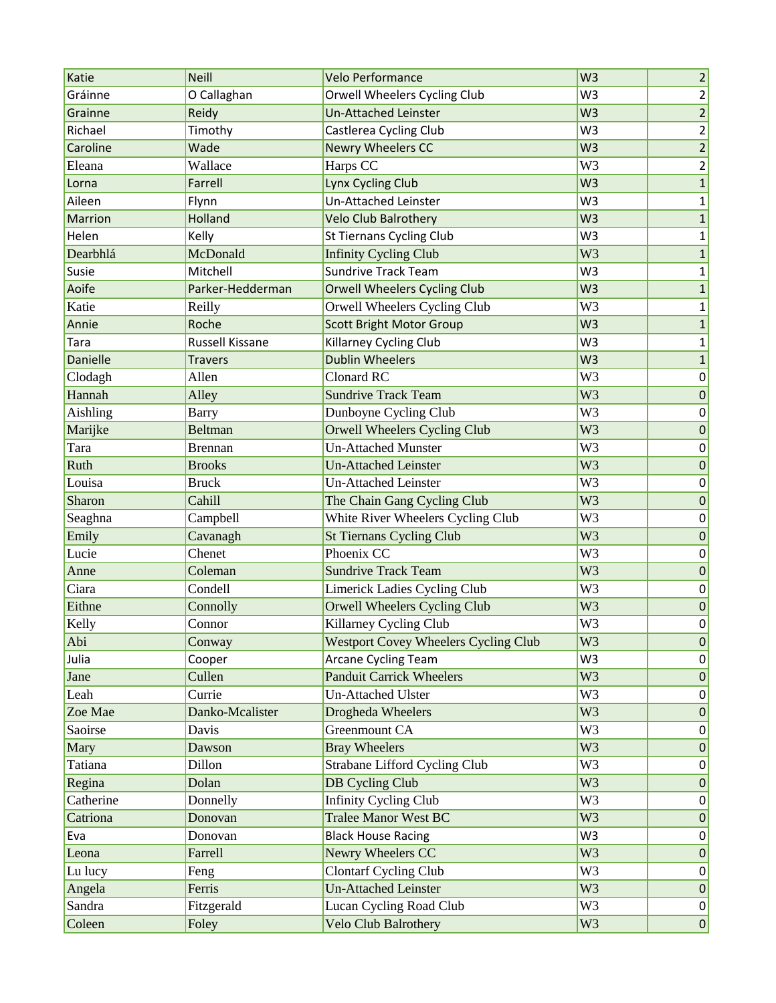| Katie           | <b>Neill</b>     | <b>Velo Performance</b>                     | W <sub>3</sub> | $\overline{2}$  |
|-----------------|------------------|---------------------------------------------|----------------|-----------------|
| Gráinne         | O Callaghan      | Orwell Wheelers Cycling Club                | W <sub>3</sub> | $\overline{2}$  |
| Grainne         | Reidy            | <b>Un-Attached Leinster</b>                 | W <sub>3</sub> | $\overline{2}$  |
| Richael         | Timothy          | Castlerea Cycling Club                      | W <sub>3</sub> | $\overline{2}$  |
| Caroline        | Wade             | <b>Newry Wheelers CC</b>                    | W <sub>3</sub> | $\overline{2}$  |
| Eleana          | Wallace          | Harps CC                                    | W <sub>3</sub> | $\overline{2}$  |
| Lorna           | Farrell          | Lynx Cycling Club                           | W <sub>3</sub> | $\mathbf{1}$    |
| Aileen          | Flynn            | Un-Attached Leinster                        | W <sub>3</sub> | $1\vert$        |
| Marrion         | Holland          | Velo Club Balrothery                        | W <sub>3</sub> | 1               |
| Helen           | Kelly            | <b>St Tiernans Cycling Club</b>             | W <sub>3</sub> | $\mathbf{1}$    |
| Dearbhlá        | McDonald         | <b>Infinity Cycling Club</b>                | W <sub>3</sub> | $\mathbf{1}$    |
| Susie           | Mitchell         | <b>Sundrive Track Team</b>                  | W <sub>3</sub> | $\mathbf{1}$    |
| Aoife           | Parker-Hedderman | <b>Orwell Wheelers Cycling Club</b>         | W <sub>3</sub> | $\mathbf{1}$    |
| Katie           | Reilly           | Orwell Wheelers Cycling Club                | W <sub>3</sub> | $1\vert$        |
| Annie           | Roche            | <b>Scott Bright Motor Group</b>             | W <sub>3</sub> | 1               |
| Tara            | Russell Kissane  | Killarney Cycling Club                      | W <sub>3</sub> | $\mathbf{1}$    |
| <b>Danielle</b> | <b>Travers</b>   | <b>Dublin Wheelers</b>                      | W <sub>3</sub> | $\mathbf{1}$    |
| Clodagh         | Allen            | <b>Clonard RC</b>                           | W <sub>3</sub> | 0               |
| Hannah          | Alley            | <b>Sundrive Track Team</b>                  | W <sub>3</sub> | 0               |
| Aishling        | <b>Barry</b>     | Dunboyne Cycling Club                       | W <sub>3</sub> | 0               |
| Marijke         | <b>Beltman</b>   | <b>Orwell Wheelers Cycling Club</b>         | W <sub>3</sub> | 0               |
| Tara            | <b>Brennan</b>   | <b>Un-Attached Munster</b>                  | W <sub>3</sub> | 0               |
| Ruth            | <b>Brooks</b>    | <b>Un-Attached Leinster</b>                 | W <sub>3</sub> | $\vert 0 \vert$ |
| Louisa          | <b>Bruck</b>     | <b>Un-Attached Leinster</b>                 | W <sub>3</sub> | 0               |
| Sharon          | Cahill           | The Chain Gang Cycling Club                 | W <sub>3</sub> | 0               |
| Seaghna         | Campbell         | White River Wheelers Cycling Club           | W <sub>3</sub> | 0               |
| Emily           | Cavanagh         | <b>St Tiernans Cycling Club</b>             | W <sub>3</sub> | 0               |
| Lucie           | Chenet           | Phoenix CC                                  | W <sub>3</sub> | 0               |
| Anne            | Coleman          | <b>Sundrive Track Team</b>                  | W <sub>3</sub> | $\pmb{0}$       |
| Ciara           | Condell          | Limerick Ladies Cycling Club                | W <sub>3</sub> | 0               |
| Eithne          | Connolly         | <b>Orwell Wheelers Cycling Club</b>         | W <sub>3</sub> | 0               |
| Kelly           | Connor           | Killarney Cycling Club                      | W <sub>3</sub> | 0               |
| Abi             | Conway           | <b>Westport Covey Wheelers Cycling Club</b> | W <sub>3</sub> | 0               |
| Julia           | Cooper           | <b>Arcane Cycling Team</b>                  | W <sub>3</sub> | 0               |
| Jane            | Cullen           | <b>Panduit Carrick Wheelers</b>             | W <sub>3</sub> | 0               |
| Leah            | Currie           | <b>Un-Attached Ulster</b>                   | W <sub>3</sub> | 0               |
| Zoe Mae         | Danko-Mcalister  | Drogheda Wheelers                           | W <sub>3</sub> | 0               |
| Saoirse         | Davis            | Greenmount CA                               | W <sub>3</sub> | 0               |
| Mary            | Dawson           | <b>Bray Wheelers</b>                        | W <sub>3</sub> | 0               |
| Tatiana         | Dillon           | Strabane Lifford Cycling Club               | W <sub>3</sub> | 0               |
| Regina          | Dolan            | <b>DB Cycling Club</b>                      | W <sub>3</sub> | 0               |
| Catherine       | Donnelly         | <b>Infinity Cycling Club</b>                | W <sub>3</sub> | 0               |
| Catriona        | Donovan          | <b>Tralee Manor West BC</b>                 | W <sub>3</sub> | 0               |
| Eva             | Donovan          | <b>Black House Racing</b>                   | W3             | 0               |
| Leona           | Farrell          | Newry Wheelers CC                           | W <sub>3</sub> | 0               |
| Lu lucy         | Feng             | <b>Clontarf Cycling Club</b>                | W <sub>3</sub> | 0               |
| Angela          | Ferris           | <b>Un-Attached Leinster</b>                 | W <sub>3</sub> | 0               |
| Sandra          | Fitzgerald       | Lucan Cycling Road Club                     | W <sub>3</sub> | 0               |
| Coleen          | Foley            | Velo Club Balrothery                        | W <sub>3</sub> | 0               |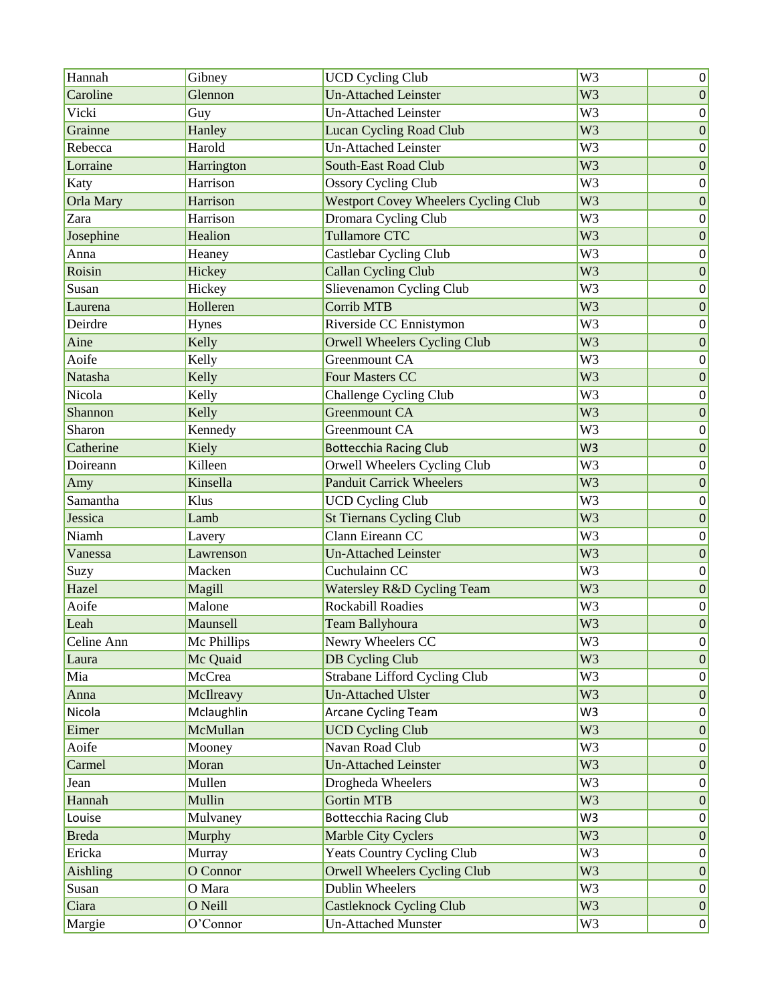| Hannah       | Gibney      | <b>UCD Cycling Club</b>                     | $\overline{W}$ 3 | 0               |
|--------------|-------------|---------------------------------------------|------------------|-----------------|
| Caroline     | Glennon     | <b>Un-Attached Leinster</b>                 | W <sub>3</sub>   | 0               |
| Vicki        | Guy         | <b>Un-Attached Leinster</b>                 | W <sub>3</sub>   | 0               |
| Grainne      | Hanley      | Lucan Cycling Road Club                     | W <sub>3</sub>   | $\pmb{0}$       |
| Rebecca      | Harold      | <b>Un-Attached Leinster</b>                 | W <sub>3</sub>   | 0               |
| Lorraine     | Harrington  | <b>South-East Road Club</b>                 | W <sub>3</sub>   | 0               |
| Katy         | Harrison    | <b>Ossory Cycling Club</b>                  | W <sub>3</sub>   | 0               |
| Orla Mary    | Harrison    | <b>Westport Covey Wheelers Cycling Club</b> | W <sub>3</sub>   | 0               |
| Zara         | Harrison    | Dromara Cycling Club                        | W <sub>3</sub>   | 0               |
| Josephine    | Healion     | <b>Tullamore CTC</b>                        | W <sub>3</sub>   | 0               |
| Anna         | Heaney      | <b>Castlebar Cycling Club</b>               | W <sub>3</sub>   | 0               |
| Roisin       | Hickey      | <b>Callan Cycling Club</b>                  | W <sub>3</sub>   | 0               |
| Susan        | Hickey      | Slievenamon Cycling Club                    | W <sub>3</sub>   | 0               |
| Laurena      | Holleren    | <b>Corrib MTB</b>                           | W <sub>3</sub>   | $\vert 0 \vert$ |
| Deirdre      | Hynes       | Riverside CC Ennistymon                     | W <sub>3</sub>   | 0               |
| Aine         | Kelly       | <b>Orwell Wheelers Cycling Club</b>         | W <sub>3</sub>   | 0               |
| Aoife        | Kelly       | Greenmount CA                               | W <sub>3</sub>   | 0               |
| Natasha      | Kelly       | <b>Four Masters CC</b>                      | W <sub>3</sub>   | 0               |
| Nicola       | Kelly       | Challenge Cycling Club                      | W <sub>3</sub>   | 0               |
| Shannon      | Kelly       | <b>Greenmount CA</b>                        | W <sub>3</sub>   | 0               |
| Sharon       | Kennedy     | Greenmount CA                               | W <sub>3</sub>   | 0               |
| Catherine    | Kiely       | <b>Bottecchia Racing Club</b>               | W <sub>3</sub>   | $\vert 0 \vert$ |
| Doireann     | Killeen     | Orwell Wheelers Cycling Club                | W <sub>3</sub>   | 0               |
| Amy          | Kinsella    | <b>Panduit Carrick Wheelers</b>             | W <sub>3</sub>   | 0               |
| Samantha     | Klus        | <b>UCD Cycling Club</b>                     | W <sub>3</sub>   | 0               |
| Jessica      | Lamb        | <b>St Tiernans Cycling Club</b>             | W <sub>3</sub>   | 0               |
| Niamh        | Lavery      | Clann Eireann CC                            | W <sub>3</sub>   | 0               |
| Vanessa      | Lawrenson   | <b>Un-Attached Leinster</b>                 | W <sub>3</sub>   | $\vert 0 \vert$ |
| Suzy         | Macken      | Cuchulainn CC                               | W <sub>3</sub>   | 0               |
| Hazel        | Magill      | Watersley R&D Cycling Team                  | W <sub>3</sub>   | $\pmb{0}$       |
| Aoife        | Malone      | <b>Rockabill Roadies</b>                    | W <sub>3</sub>   | 0               |
| Leah         | Maunsell    | <b>Team Ballyhoura</b>                      | W <sub>3</sub>   | $\pmb{0}$       |
| Celine Ann   | Mc Phillips | Newry Wheelers CC                           | W3               | 0               |
| Laura        | Mc Quaid    | <b>DB Cycling Club</b>                      | W <sub>3</sub>   | 0               |
| Mia          | McCrea      | Strabane Lifford Cycling Club               | W <sub>3</sub>   | 0               |
| Anna         | McIlreavy   | <b>Un-Attached Ulster</b>                   | W <sub>3</sub>   | 0               |
| Nicola       | Mclaughlin  | Arcane Cycling Team                         | W <sub>3</sub>   | 0               |
| Eimer        | McMullan    | <b>UCD Cycling Club</b>                     | W <sub>3</sub>   | 0               |
| Aoife        | Mooney      | Navan Road Club                             | W <sub>3</sub>   | 0               |
| Carmel       | Moran       | <b>Un-Attached Leinster</b>                 | W <sub>3</sub>   | 0               |
| Jean         | Mullen      | Drogheda Wheelers                           | W <sub>3</sub>   | 0               |
| Hannah       | Mullin      | <b>Gortin MTB</b>                           | W <sub>3</sub>   | 0               |
| Louise       | Mulvaney    | <b>Bottecchia Racing Club</b>               | W <sub>3</sub>   | 0               |
| <b>Breda</b> | Murphy      | Marble City Cyclers                         | W <sub>3</sub>   | 0               |
| Ericka       | Murray      | <b>Yeats Country Cycling Club</b>           | W <sub>3</sub>   | 0               |
| Aishling     | O Connor    | <b>Orwell Wheelers Cycling Club</b>         | W <sub>3</sub>   | 0               |
| Susan        | O Mara      | Dublin Wheelers                             | W <sub>3</sub>   | 0               |
| Ciara        | O Neill     | <b>Castleknock Cycling Club</b>             | W <sub>3</sub>   | 0               |
| Margie       | O'Connor    | <b>Un-Attached Munster</b>                  | W <sub>3</sub>   | 0               |